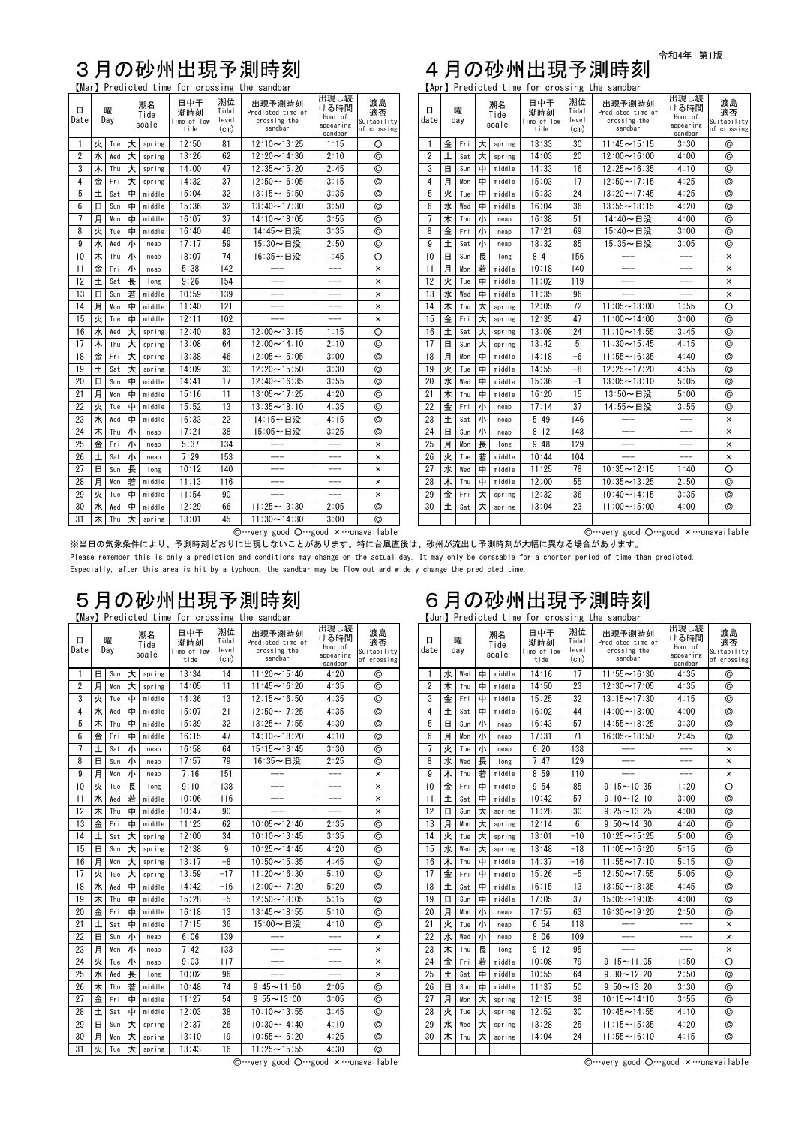令和4年 第1版

◎…very good ○…good ×…unavailable ◎…very good ○…good ×…unavailable

※当日の気象条件により、予測時刻どおりに出現しないことがあります。特に台風直後は、砂州が流出し予測時刻が大幅に異なる場合があります。

Please remember this is only a prediction and conditions may change on the actual day. It may only be corssable for a shorter period of time than predicted. Especially, after this area is hit by a typhoon, the sandbar may be flow out and widely change the predicted time.

# 5月の砂州出現予測時刻<br>
May Predicted time for crossing the sandbar<br>
Lun Predicted time for crossing the sandbar

## 3月の砂州出現予測時刻 4月の砂州出現予測時刻

|                     |              | [Mar] Predicted time for crossing the sandbar |               |                     |                                   |                              |                                                        |                                                 |                                        | [Apr] Predicted time for crossing the sandbar |             |          |   |                     |                                   |                              |                                                        |                                                 |                                        |
|---------------------|--------------|-----------------------------------------------|---------------|---------------------|-----------------------------------|------------------------------|--------------------------------------------------------|-------------------------------------------------|----------------------------------------|-----------------------------------------------|-------------|----------|---|---------------------|-----------------------------------|------------------------------|--------------------------------------------------------|-------------------------------------------------|----------------------------------------|
| $\boxminus$<br>Date |              | 曜<br>Day                                      |               | 潮名<br>Tide<br>scale | 日中干<br>潮時刻<br>Time of low<br>tide | 潮位<br>Tidal<br>level<br>(cm) | 出現予測時刻<br>Predicted time of<br>crossing the<br>sandbar | 出現し続<br>ける時間<br>Hour of<br>appearing<br>sandbar | 渡島<br>適否<br>Suitability<br>of crossing | 日<br>date                                     |             | 曜<br>day |   | 潮名<br>Tide<br>scale | 日中干<br>潮時刻<br>Time of low<br>tide | 潮位<br>Tidal<br>level<br>(cm) | 出現予測時刻<br>Predicted time of<br>crossing the<br>sandbar | 出現し続<br>ける時間<br>Hour of<br>appearing<br>sandbar | 渡島<br>適否<br>Suitability<br>of crossing |
|                     | 火            | Tue                                           | 大             | spring              | 12:50                             | 81                           | $12:10 \sim 13:25$                                     | 1:15                                            | $\circ$                                | $\overline{1}$                                | 金           | Fri      | 大 | spring              | 13:33                             | 30                           | $11:45 \sim 15:15$                                     | 3:30                                            | $\circledcirc$                         |
| $\overline{2}$      | 水            | Wed                                           | 大             | spring              | 13:26                             | 62                           | $12:20 \sim 14:30$                                     | 2:10                                            | $\circledcirc$                         | $\overline{2}$                                | $\pm$       | Sat      | 大 | spring              | 14:03                             | 20                           | $12:00 \sim 16:00$                                     | 4:00                                            | $\circledcirc$                         |
| 3 <sup>1</sup>      | 木            | Thu                                           | 大             | spring              | 14:00                             | 47                           | $12:35 - 15:20$                                        | 2:45                                            | $^{\circ}$                             | 3                                             | $\Box$      | Sun      | 中 | middle              | 14:33                             | 16                           | $12:25 - 16:35$                                        | 4:10                                            | $\circledcirc$                         |
| $\overline{4}$      | 金            | Fri                                           | 大             | spring              | 14:32                             | 37                           | $12:50 \sim 16:05$                                     | 3:15                                            | $\circledcirc$                         | $\overline{4}$                                | 月           | Mon      | 中 | middle              | 15:03                             | 17                           | $12:50 \sim 17:15$                                     | 4:25                                            | $\circledcirc$                         |
| 5                   | 土            | Sat                                           | 中             | middle              | 15:04                             | 32                           | $13:15 - 16:50$                                        | 3:35                                            | $\circledcirc$                         | 5                                             | 火           | Tue      | 中 | middle              | 15:33                             | 24                           | $13:20 \sim 17:45$                                     | 4:25                                            | $\circledcirc$                         |
| 6 <sup>1</sup>      | $\Box$       | Sun                                           | $\Box$        | middle              | 15:36                             | 32                           | $13:40 \sim 17:30$                                     | 3:50                                            | $\circledcirc$                         | $6\phantom{.}6$                               | 水           | Wed      | 中 | middle              | 16:04                             | 36                           | $13:55 - 18:15$                                        | 4:20                                            | $\circledcirc$                         |
| 7 <sup>7</sup>      | 月            | Mon                                           | $\Box$        | middle              | 16:07                             | 37                           | $14:10 \sim 18:05$                                     | 3:55                                            | $\circledcirc$                         | 7                                             | 木           | Thu      | 小 | neap                | 16:38                             | 51                           | 14:40~日没                                               | 4:00                                            | $\circledcirc$                         |
| 8                   | 火            | Tue                                           | 中             | middle              | 16:40                             | 46                           | 14:45~日没                                               | 3:35                                            | $\circledcirc$                         | 8                                             | 金           | Fri      | 小 | neap                | 17:21                             | 69                           | 15:40~日没                                               | 3:00                                            | $\circledcirc$                         |
| 9                   | 水            | Wed                                           | 小             | neap                | 17:17                             | 59                           | 15:30~日没                                               | 2:50                                            | $^{\circ}$                             | 9                                             | 土           | Sat      | 小 | neap                | 18:32                             | 85                           | 15:35~日没                                               | 3:05                                            | $\circledcirc$                         |
| 10                  | 木            | Thu                                           | 小             | neap                | 18:07                             | 74                           | 16:35~日没                                               | 1:45                                            | O                                      | 10                                            | $\Box$      | Sun      | 長 | long                | 8:41                              | 156                          | $---$                                                  | $---$                                           | $\times$                               |
| 11                  | 金            | Fri                                           | 小             | neap                | 5:38                              | 142                          |                                                        | $---$                                           | $\times$                               | 11                                            | 月           | Mon      | 若 | middle              | 10:18                             | 140                          | $---$                                                  | $---$                                           | $\times$                               |
| 12                  | 土            | Sat                                           | 長             | long                | 9:26                              | 154                          | $---$                                                  | $---$                                           | $\times$                               | 12                                            | 火           | Tue      | 中 | middle              | 11:02                             | 119                          | $---$                                                  | $---$                                           | $\times$                               |
| 13                  | $\Box$       | Sun                                           | 若             | middle              | 10:59                             | 139                          |                                                        | ---                                             | $\times$                               | 13                                            | 水           | Wed      | 中 | middle              | 11:35                             | 96                           |                                                        | $---$                                           | $\times$                               |
| 14                  | 月            | Mon                                           | 中             | middle              | 11:40                             | 121                          | $---$                                                  | $---$                                           | $\times$                               | 14                                            | 木           | Thu      | 大 | spring              | 12:05                             | 72                           | $11:05 - 13:00$                                        | 1:55                                            | $\circ$                                |
| 15                  | 火            | Tue                                           | 中             | middle              | 12:11                             | 102                          |                                                        | ---                                             | $\times$                               | 15                                            | 金           | Fri      | 大 | spring              | 12:35                             | 47                           | $11:00 \sim 14:00$                                     | 3:00                                            | $\circledcirc$                         |
| 16                  | 水            | Wed                                           | 大             | spring              | 12:40                             | 83                           | $12:00 \sim 13:15$                                     | 1:15                                            | $\circ$                                | 16                                            | 土           | Sat      | 大 | spring              | 13:08                             | 24                           | $11:10 \sim 14:55$                                     | 3:45                                            | $\circledcirc$                         |
| 17                  | 木            | Thu                                           | 大             | spring              | 13:08                             | 64                           | $12:00 \sim 14:10$                                     | 2:10                                            | $^{\circ}$                             | 17                                            | $\boxminus$ | Sun      | 大 | spring              | 13:42                             | 5                            | $11:30 \sim 15:45$                                     | 4:15                                            | $\circledcirc$                         |
| 18                  | 金            | Fri                                           | 大             | spring              | 13:38                             | 46                           | $12:05 - 15:05$                                        | 3:00                                            | $\circledcirc$                         | 18                                            | 月           | Mon      | 中 | middle              | 14:18                             | $-6$                         | $11:55 - 16:35$                                        | 4:40                                            | $\circledcirc$                         |
| 19                  | 土            | Sat                                           | 大             | spring              | 14:09                             | 30                           | $12:20 \sim 15:50$                                     | 3:30                                            | $\circledcirc$                         | 19                                            | 火           | Tue      | 中 | middle              | 14:55                             | $-8$                         | $12:25 \sim 17:20$                                     | 4:55                                            | $\circledcirc$                         |
| 20                  | $\Box$       | Sun                                           | 中             | middle              | 14:41                             | 17                           | $12:40 \sim 16:35$                                     | 3:55                                            | $\circledcirc$                         | 20                                            | 水           | Wed      | 中 | middle              | 15:36                             | $-1$                         | $13:05 - 18:10$                                        | 5:05                                            | $\circledcirc$                         |
| 21                  | 月            | Mon                                           | 中             | middle              | 15:16                             | 11                           | $13:05 \rightarrow 17:25$                              | 4:20                                            | $\circledcirc$                         | 21                                            | 木           | Thu      | 中 | middle              | 16:20                             | 15                           | 13:50~日没                                               | 5:00                                            | $\circledcirc$                         |
| 22                  | 火            | Tue                                           | $\Rightarrow$ | middle              | 15:52                             | 13                           | $13:35 \rightarrow 18:10$                              | 4:35                                            | $\circledcirc$                         | 22                                            | 金           | Fri      | 小 | neap                | 17:14                             | 37                           | 14:55~日没                                               | 3:55                                            | $\circledcirc$                         |
| 23                  | 水            | Wed                                           | 中             | middle              | 16:33                             | 22                           | 14:15~日没                                               | 4:15                                            | $\circledcirc$                         | 23                                            | 土           | Sat      | 小 | neap                | 5:49                              | 146                          | ———                                                    | $---$                                           | $\pmb{\times}$                         |
| 24                  | 木            | Thu                                           | 小             | neap                | 17:21                             | 38                           | 15:05~日没                                               | 3:25                                            | $\circledcirc$                         | 24                                            | $\Box$      | Sun      | 小 | neap                | 8:12                              | 148                          | ———                                                    | ———                                             | $\times$                               |
| 25                  | 金            | Fri                                           | ∣∥∖           | neap                | 5:37                              | 134                          | $---$                                                  | ---                                             | $\times$                               | 25                                            | 月           | Mon      | 長 | long                | 9:48                              | 129                          | $---$                                                  | $---$                                           | $\pmb{\times}$                         |
| 26                  | $\pm$        | Sat                                           | 小             | neap                | 7:29                              | 153                          | ———                                                    | $---$                                           | $\times$                               | 26                                            | 火           | Tue      | 若 | middle              | 10:44                             | 104                          | $---$                                                  | $---$                                           | $\times$                               |
| 27                  | $\mathbf{H}$ | Sun                                           | 長             | long                | 10:12                             | 140                          | $---$                                                  | $---$                                           | $\times$                               | 27                                            | 水           | Wed      | 中 | middle              | 11:25                             | 78                           | $10:35 - 12:15$                                        | 1:40                                            | $\circ$                                |
| 28                  | 月            | Mon                                           | 若             | middle              | 11:13                             | 116                          | ———                                                    | ---                                             | $\times$                               | 28                                            | 木           | Thu      | 中 | middle              | 12:00                             | 55                           | $10:35 - 13:25$                                        | 2:50                                            | $\circledcirc$                         |
| 29                  | 火            | Tue                                           | 中             | middle              | 11:54                             | 90                           | $---$                                                  | ---                                             | $\times$                               | 29                                            | 金           | Fri      | 大 | spring              | 12:32                             | 36                           | $10:40 \sim 14:15$                                     | 3:35                                            | $\circledcirc$                         |
| 30 <sup>°</sup>     | 水            | Wed                                           | 中             | middle              | 12:29                             | 66                           | $11:25 - 13:30$                                        | 2:05                                            | $\circledcirc$                         | 30                                            | 土           | Sat      | 大 | spring              | 13:04                             | 23                           | $11:00 \sim 15:00$                                     | 4:00                                            | $\circledcirc$                         |
| 31                  | 木            | Thu                                           | 大             | spring              | 13:01                             | 45                           | $11:30 \sim 14:30$                                     | 3:00                                            | $\circledcirc$                         |                                               |             |          |   |                     |                                   |                              |                                                        |                                                 |                                        |

【May】Predicted time for crossing the sandbar 【Jun】Predicted time for crossing the sandbar

|                |                        |                 |                     |        |                                   |                              | <b>THRANGE CHILD TO A CONTRACTOR</b> CHO SQUIQUAL      |                                                 |                                        |                |              |                      |        |                     |                                   |                              | LUCIUL II CUIULCU LIMC IUI UIUSUIIIR LIIC SUNUDUI      |                                                 |                               |
|----------------|------------------------|-----------------|---------------------|--------|-----------------------------------|------------------------------|--------------------------------------------------------|-------------------------------------------------|----------------------------------------|----------------|--------------|----------------------|--------|---------------------|-----------------------------------|------------------------------|--------------------------------------------------------|-------------------------------------------------|-------------------------------|
| $\Box$<br>Date | 曜<br>Day<br>$\Box$ Sun |                 | 潮名<br>Tide<br>scale |        | 日中干<br>潮時刻<br>Time of low<br>tide | 潮位<br>Tidal<br>level<br>(cm) | 出現予測時刻<br>Predicted time of<br>crossing the<br>sandbar | 出現し続<br>ける時間<br>Hour of<br>appearing<br>sandbar | 渡島<br>適否<br>Suitability<br>of crossing | $\Box$<br>date |              | 曜<br>day             |        | 潮名<br>Tide<br>scale | 日中干<br>潮時刻<br>Time of low<br>tide | 潮位<br>Tidal<br>level<br>(cm) | 出現予測時刻<br>Predicted time of<br>crossing the<br>sandbar | 出現し続<br>ける時間<br>Hour of<br>appearing<br>sandbar | 渡<br>適る<br>Suitabi<br>of cros |
| - 1            |                        |                 | 大                   | spring | 13:34                             | 14                           | $11:20 \sim 15:40$                                     | 4:20                                            | $\circledcirc$                         | -1             | 水            | Wed I                | 中      | middle              | 14:16                             | 17                           | $11:55 - 16:30$                                        | 4:35                                            | $\circledcirc$                |
| $\overline{2}$ | 月                      | Mon             | 大                   | spring | 14:05                             | 11                           | $11:45 \sim 16:20$                                     | 4:35                                            | $\circledcirc$                         | $\overline{2}$ | 木            | Thu                  | 中      | middle              | 14:50                             | 23                           | $12:30 - 17:05$                                        | 4:35                                            | $\circledcirc$                |
| 3              | 火                      | Tue             | 中                   | middle | 14:36                             | 13                           | $12:15 - 16:50$                                        | 4:35                                            | $\circledcirc$                         | 3              | 金            | Fri                  | $\Box$ | middle              | 15:25                             | 32                           | $13:15 \sim 17:30$                                     | 4:15                                            | $\circledcirc$                |
| 4              | 水                      | Wed             | 中                   | middle | 15:07                             | 21                           | $12:50 \sim 17:25$                                     | 4:35                                            | $\circledcirc$                         | 4              | 土            | Sat $  \oplus$       |        | middle              | 16:02                             | 44                           | $14:00 \sim 18:00$                                     | 4:00                                            | $\circledcirc$                |
| 5              | 木                      | Thu             | 中                   | middle | 15:39                             | 32                           | $13:25 - 17:55$                                        | 4:30                                            | $\circledcirc$                         | 5              | $\mathbf{H}$ | $\text{Sun}$ /       |        | neap                | 16:43                             | 57                           | $14:55 - 18:25$                                        | 3:30                                            | $\circledcirc$                |
| 6              | 金                      | Fri             | 中                   | middle | 16:15                             | 47                           | $14:10 \sim 18:20$                                     | 4:10                                            | $\circledcirc$                         | 6              | 月            | $Mon$ $1$            |        | neap                | 17:31                             | 71                           | $16:05 - 18:50$                                        | 2:45                                            | $\circledcirc$                |
| 7              | 土                      | Sat             | 小                   | neap   | 16:58                             | 64                           | $15:15 - 18:45$                                        | 3:30                                            | $\circledcirc$                         | -7             | 火            | Tue 小                |        | neap                | 6:20                              | 138                          | ———                                                    | ———                                             | $\times$                      |
| 8              | $\mathbf{H}$           | Sun             | 小                   | neap   | 17:57                             | 79                           | 16:35~日没                                               | 2:25                                            | $\circledcirc$                         | 8              | 水            | Wed  長               |        | long                | 7:47                              | 129                          | ———                                                    | ———                                             | $\times$                      |
| 9              | 月                      | Mon             | 小                   | neap   | 7:16                              | 151                          | $---$                                                  | $---$                                           | $\times$                               | 9              | 木            | Thu   若              |        | middle              | 8:59                              | 110                          | $\qquad \qquad - -$                                    | ———                                             | $\times$                      |
| 10             | 火                      | Tue             | 長                   | long   | 9:10                              | 138                          | $---$                                                  | $---$                                           | $\times$                               | 10             | 金            | Fri                  | $\Box$ | middle              | 9:54                              | 85                           | $9:15 - 10:35$                                         | 1:20                                            | $\circ$                       |
| 11             | 水                      | Wed             | 若                   | middle | 10:06                             | 116                          | $---$                                                  | $---$                                           | $\times$                               | 11             | 土            | Sat $\vert \pm$      |        | middle              | 10:42                             | 57                           | $9:10 \sim 12:10$                                      | 3:00                                            | $\circledcirc$                |
| 12             | 木                      | Thu             | 中                   | middle | 10:47                             | 90                           |                                                        |                                                 | $\times$                               | 12             | $\Box$       | $Sun$ 大              |        | spring              | 11:28                             | 30                           | $9:25 - 13:25$                                         | 4:00                                            | $\circledcirc$                |
| 13             | 金                      | Fri             | 中                   | middle | 11:23                             | 62                           | $10:05 - 12:40$                                        | 2:35                                            | $\circledcirc$                         | 13             | 月            | Mon   大              |        | spring              | 12:14                             | 6                            | $9:50 \sim 14:30$                                      | 4:40                                            | $\circledcirc$                |
| 14             | 土                      | Sat             | 大                   | spring | 12:00                             | 34                           | $10:10 \sim 13:45$                                     | 3:35                                            | $\circledcirc$                         | 14             | 火            | Tue $\vert$ 大        |        | spring              | 13:01                             | $-10$                        | $10:25 - 15:25$                                        | 5:00                                            | $\circledcirc$                |
| 15             | $\Box$                 | Sun             | 大                   | spring | 12:38                             | 9                            | $10:25 - 14:45$                                        | 4:20                                            | $\circledcirc$                         | 15             | 水            | Wed $\pm$            |        | spring              | 13:48                             | $-18$                        | $11:05 - 16:20$                                        | 5:15                                            | $\circledcirc$                |
| 16             | 月                      | Mon             | 大                   | spring | 13:17                             | $-8$                         | $10:50 \sim 15:35$                                     | 4:45                                            | $\circledcirc$                         | 16             | 木            | Thu                  | 中      | middle              | 14:37                             | $-16$                        | $11:55 - 17:10$                                        | 5:15                                            | $\circledcirc$                |
| 17             | 火                      | Tue             | 大                   | spring | 13:59                             | $-17$                        | $11:20 \sim 16:30$                                     | 5:10                                            | $\circledcirc$                         | 17             | 金            | Fri                  | 中      | middle              | 15:26                             | $-5$                         | $12:50 \sim 17:55$                                     | 5:05                                            | $\circledcirc$                |
| 18             | 水                      | Wed             | 中                   | middle | 14:42                             | $-16$                        | $12:00 \sim 17:20$                                     | 5:20                                            | $\circledcirc$                         | 18             | $\pm$        | $Sat$ 中              |        | middle              | 16:15                             | 13                           | $13:50 - 18:35$                                        | 4:45                                            | $\circledcirc$                |
| 19             | 木                      | Thu             | 中                   | middle | 15:28                             | $-5$                         | $12:50 \sim 18:05$                                     | 5:15                                            | $\circledcirc$                         | 19             | $\Box$       | $Sun   +$            |        | middle              | 17:05                             | 37                           | $15:05 - 19:05$                                        | 4:00                                            | $\circledcirc$                |
| 20             | 金                      | Fri             | 中                   | middle | 16:18                             | 13                           | $13:45 - 18:55$                                        | 5:10                                            | $\circledcirc$                         | 20             | 月            | $Mon$ $1$            |        | neap                | 17:57                             | 63                           | $16:30 - 19:20$                                        | 2:50                                            | $\circledcirc$                |
| 21             | 土                      | Sat             | 中                   | middle | 17:15                             | 36                           | 15:00~日没                                               | 4:10                                            | $\circledcirc$                         | 21             | 火            | Tue $  \psi$         |        | neap                | 6:54                              | 118                          |                                                        | ———                                             | $\times$                      |
| 22             | $\mathsf{H}$           | Sun             | 小                   | neap   | 6:06                              | 139                          | $---$                                                  | $---$                                           | $\times$                               | 22             | 水            | Wed //               |        | neap                | 8:06                              | 109                          | $---$                                                  | ———                                             | $\times$                      |
| 23             | 月                      | $Mon$ $J\Gamma$ |                     | neap   | 7:42                              | 133                          | $---$                                                  | ———                                             | $\times$                               | 23             | 木            | Thu                  | 長      | long                | 9:12                              | 95                           |                                                        | ---                                             | $\times$                      |
| 24             | 火                      | Tue             | 小                   | neap   | 9:03                              | 117                          | $\qquad \qquad - -$                                    | $---$                                           | $\times$                               | 24             | 金            | Fri 若                |        | middle              | 10:08                             | 79                           | $9:15 \sim 11:05$                                      | 1:50                                            | $\circ$                       |
| 25             | 水                      | Wed             | 長                   | long   | 10:02                             | 96                           |                                                        |                                                 | $\times$                               | 25             | 土            | Sat $\vert \bm{\pm}$ |        | middle              | 10:55                             | 64                           | $9:30 \sim 12:20$                                      | 2:50                                            | $\circledcirc$                |
| 26             | 木                      | Thu             | 若                   | middle | 10:48                             | 74                           | $9:45 \sim 11:50$                                      | 2:05                                            | $\circledcirc$                         | 26             | $\Box$       | Sun                  | 中      | middle              | 11:37                             | 50                           | $9:50 \sim 13:20$                                      | 3:30                                            | $\circledcirc$                |
| 27             | 金                      | Fri             | 中                   | middle | 11:27                             | 54                           | $9:55 - 13:00$                                         | 3:05                                            | $\circledcirc$                         | 27             | 月            | Mon                  | 大      | spring              | 12:15                             | 38                           | $10:15 - 14:10$                                        | 3:55                                            | $\circledcirc$                |
| 28             | 土                      | Sat             | 中                   | middle | 12:03                             | 38                           | $10:10 - 13:55$                                        | 3:45                                            | $\circledcirc$                         | 28             | 火            | Tue $\pm$            |        | spring              | 12:52                             | 30                           | $10:45 - 14:55$                                        | 4:10                                            | $\circledcirc$                |
| 29             | $\Box$                 | $\text{Sun}$ 大  |                     | spring | 12:37                             | 26                           | $10:30 \sim 14:40$                                     | 4:10                                            | $\circledcirc$                         | 29             | 水            | Wed $ \star $        |        | spring              | 13:28                             | 25                           | $11:15 - 15:35$                                        | 4:20                                            | $\circledcirc$                |
| 30             | 月                      | Mon             | 大                   | spring | 13:10                             | 19                           | $10:55 - 15:20$                                        | 4:25                                            | $\circledcirc$                         | 30             | 木            | Thu $\pm$            |        | spring              | 14:04                             | 24                           | $11:55 - 16:10$                                        | 4:15                                            | $\circledcirc$                |
| 31             | 火                      | Tue $ \star $   |                     | spring | 13:43                             | 16                           | $11:25 - 15:55$                                        | 4:30                                            | $\circledcirc$                         |                |              |                      |        |                     |                                   |                              |                                                        |                                                 |                               |

|                |          |     |   |                       |                                                                   | -                 |                                                        |                                                 |                                        |
|----------------|----------|-----|---|-----------------------|-------------------------------------------------------------------|-------------------|--------------------------------------------------------|-------------------------------------------------|----------------------------------------|
| 日<br>date      | 曜<br>day |     |   | 潮名<br>Tide<br>scale   | 潮位<br>日中干<br>Tidal<br>潮時刻<br>level<br>Time of low<br>tide<br>(cm) |                   | 出現予測時刻<br>Predicted time of<br>crossing the<br>sandbar | 出現し続<br>ける時間<br>Hour of<br>appearing<br>sandbar | 渡島<br>適否<br>Suitability<br>of crossing |
| 1              | 水        | Wed | 中 | middle                | 14:16                                                             | 17                | $11:55 - 16:30$                                        | 4:35                                            | $\circledcirc$                         |
| $\overline{2}$ | 木        | Thu | 中 | middle                | 14:50                                                             | 23                | $12:30 \sim 17:05$                                     | 4:35                                            | $\circledcirc$                         |
| 3              | 金        | Fri | 中 | middle                | 15:25                                                             | 32                | $13:15 - 17:30$                                        | 4:15                                            | $\circledcirc$                         |
| 4              | 土<br>Sat |     | 中 | middle                | 16:02                                                             | 44                | $14:00 \sim 18:00$                                     | 4:00                                            | $^{\circ}$                             |
| 5              | 日        | Sun | 小 | neap                  | 16:43                                                             | 57                | $14:55 - 18:25$                                        | 3:30                                            | $\circledcirc$                         |
| 6              | 月        | Mon | 小 | neap                  | 17:31                                                             | 71                | $16:05 - 18:50$                                        | 2:45                                            | $^{\circ}$                             |
| 7              | 火        | Tue | 小 | neap                  | 6:20                                                              | 138               |                                                        |                                                 | $\times$                               |
| 8              | 水        | Wed | 長 | long                  | 7:47                                                              | 129               |                                                        |                                                 | $\times$                               |
| 9              | 木        | Thu | 若 | middle                | 8:59                                                              | 110               |                                                        |                                                 | $\times$                               |
| 10             | 金        | Fri | 中 | middle                | 9:54                                                              | 85                | $9:15 - 10:35$                                         | 1:20                                            | O                                      |
| 11             | 土        | Sat | 中 | middle                | 10:42                                                             | 57                | $9:10 \sim 12:10$                                      | 3:00                                            | $\circledcirc$                         |
| 12             | 日        | Sun | 大 | spring                | 11:28                                                             | 30                | $9:25 - 13:25$                                         | 4:00                                            | $\circledcirc$                         |
| 13             | 月<br>Mon |     | 大 | spring                | 12:14                                                             | $6\phantom{1}$    | $9:50 \sim 14:30$                                      | 4:40                                            | $\circledcirc$                         |
| 14             | 火<br>Tue |     | 大 | spring                | 13:01                                                             | $-10$             | $10:25 - 15:25$                                        | 5:00                                            | $\circledcirc$                         |
| 15             | 水        | Wed | 大 | spring                | 13:48                                                             | $-18$             | $11:05 - 16:20$                                        | 5:15                                            | $\circledcirc$                         |
| 16             | 木        | Thu | 中 | middle                | 14:37                                                             | $-16$             | $11:55 - 17:10$                                        | 5:15                                            | $\circledcirc$                         |
| 17             | 金        | Fri | 中 | middle                | 15:26                                                             | $-5$              | $12:50 - 17:55$                                        | 5:05                                            | ⊚                                      |
| 18             | 土        | Sat | 中 | middle                | 16:15                                                             | 13                | $13:50 - 18:35$                                        | 4:45                                            | $^{\circ}$                             |
| 19             | 日        | Sun | 中 | middle                | 17:05                                                             | 37                | $15:05 - 19:05$                                        | 4:00                                            | $\circledcirc$                         |
| 20             | 月        | Mon | 小 | neap                  | 17:57                                                             | 63                | $16:30 \sim 19:20$                                     | 2:50                                            | $^{\circ}$                             |
| 21             | 火        | Tue | 小 | neap                  | 6:54                                                              | 118               |                                                        |                                                 | $\times$                               |
| 22             | 水        | Wed | 小 | neap                  | 8:06                                                              | 109               |                                                        |                                                 | $\times$                               |
| 23             | 木        | Thu | 長 | long                  | 9:12                                                              | 95                |                                                        |                                                 | $\times$                               |
| 24             | 金        | Fri | 若 | middle                | 10:08                                                             | 79                | $9:15 - 11:05$                                         | 1:50                                            | O                                      |
| 25             | 土        | Sat | 中 | 10:55<br>64<br>middle |                                                                   | $9:30 \sim 12:20$ | 2:50                                                   | $\circledcirc$                                  |                                        |
| 26             | 日        | Sun | 中 | middle                | 11:37                                                             | 50                | $9:50 \sim 13:20$                                      | 3:30                                            | $\circledcirc$                         |
| 27             | 月<br>Mon |     | 大 | spring                | 12:15                                                             | 38                | $10:15 - 14:10$                                        | 3:55                                            | $\circledcirc$                         |
| 28             | 火<br>Tue |     | 大 | spring                | 12:52                                                             | 30                | $10:45 - 14:55$                                        | 4:10                                            | $\circledcirc$                         |
| 29             | 水<br>Wed |     | 大 | spring                | 13:28                                                             | 25                | $11:15 - 15:35$                                        | 4:20                                            | $\circledcirc$                         |
| 30             | 木<br>Thu |     | 大 | spring                | 14:04                                                             | 24                | $11:55 - 16:10$                                        | 4:15                                            | $\circledcirc$                         |
|                |          |     |   |                       |                                                                   |                   |                                                        |                                                 |                                        |
|                |          |     |   |                       |                                                                   |                   |                                                        |                                                 |                                        |

◎…very good ○…good ×…unavailable ◎…very good ○…good ×…unavailable